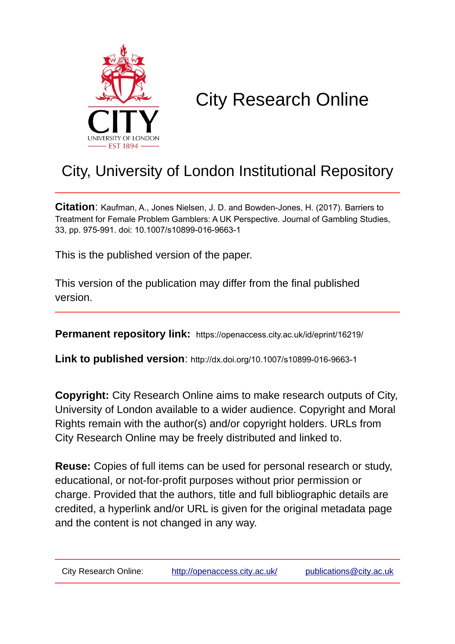

# City Research Online

# City, University of London Institutional Repository

**Citation**: Kaufman, A., Jones Nielsen, J. D. and Bowden-Jones, H. (2017). Barriers to Treatment for Female Problem Gamblers: A UK Perspective. Journal of Gambling Studies, 33, pp. 975-991. doi: 10.1007/s10899-016-9663-1

This is the published version of the paper.

This version of the publication may differ from the final published version.

**Permanent repository link:** https://openaccess.city.ac.uk/id/eprint/16219/

**Link to published version**: http://dx.doi.org/10.1007/s10899-016-9663-1

**Copyright:** City Research Online aims to make research outputs of City, University of London available to a wider audience. Copyright and Moral Rights remain with the author(s) and/or copyright holders. URLs from City Research Online may be freely distributed and linked to.

**Reuse:** Copies of full items can be used for personal research or study, educational, or not-for-profit purposes without prior permission or charge. Provided that the authors, title and full bibliographic details are credited, a hyperlink and/or URL is given for the original metadata page and the content is not changed in any way.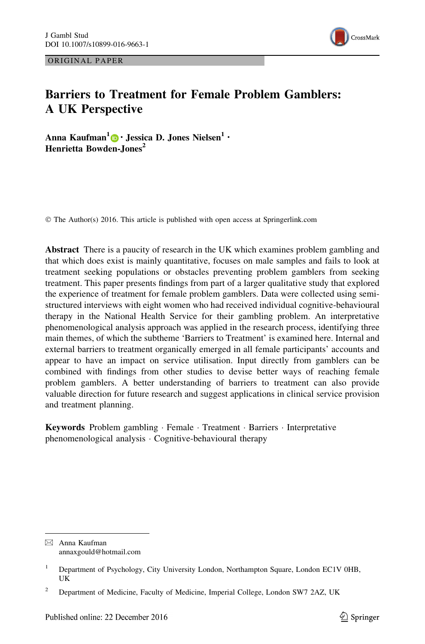ORIGINAL PAPER



# Barriers to Treatment for Female Problem Gamblers: A UK Perspective

Anna Kaufman<sup>1</sup> • Jessica D. Jones Nielsen<sup>1</sup> • Henrietta Bowden-Jones<sup>2</sup>

© The Author(s) 2016. This article is published with open access at Springerlink.com

Abstract There is a paucity of research in the UK which examines problem gambling and that which does exist is mainly quantitative, focuses on male samples and fails to look at treatment seeking populations or obstacles preventing problem gamblers from seeking treatment. This paper presents findings from part of a larger qualitative study that explored the experience of treatment for female problem gamblers. Data were collected using semistructured interviews with eight women who had received individual cognitive-behavioural therapy in the National Health Service for their gambling problem. An interpretative phenomenological analysis approach was applied in the research process, identifying three main themes, of which the subtheme 'Barriers to Treatment' is examined here. Internal and external barriers to treatment organically emerged in all female participants' accounts and appear to have an impact on service utilisation. Input directly from gamblers can be combined with findings from other studies to devise better ways of reaching female problem gamblers. A better understanding of barriers to treatment can also provide valuable direction for future research and suggest applications in clinical service provision and treatment planning.

Keywords Problem gambling - Female - Treatment - Barriers - Interpretative phenomenological analysis - Cognitive-behavioural therapy

 $\boxtimes$  Anna Kaufman annaxgould@hotmail.com

<sup>&</sup>lt;sup>1</sup> Department of Psychology, City University London, Northampton Square, London EC1V 0HB, UK

<sup>&</sup>lt;sup>2</sup> Department of Medicine, Faculty of Medicine, Imperial College, London SW7 2AZ, UK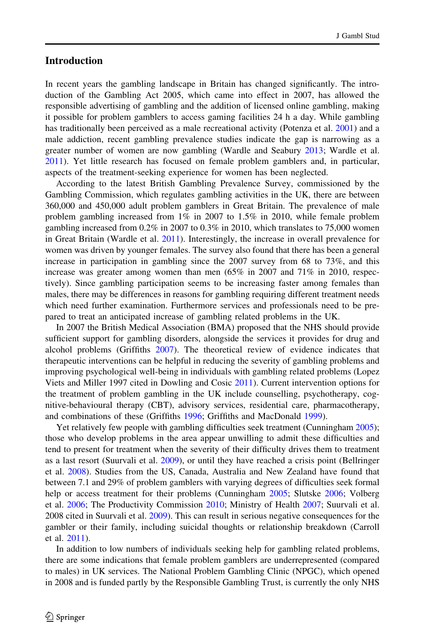# Introduction

In recent years the gambling landscape in Britain has changed significantly. The introduction of the Gambling Act 2005, which came into effect in 2007, has allowed the responsible advertising of gambling and the addition of licensed online gambling, making it possible for problem gamblers to access gaming facilities 24 h a day. While gambling has traditionally been perceived as a male recreational activity (Potenza et al. [2001](#page-16-0)) and a male addiction, recent gambling prevalence studies indicate the gap is narrowing as a greater number of women are now gambling (Wardle and Seabury [2013](#page-16-0); Wardle et al. [2011\)](#page-16-0). Yet little research has focused on female problem gamblers and, in particular, aspects of the treatment-seeking experience for women has been neglected.

According to the latest British Gambling Prevalence Survey, commissioned by the Gambling Commission, which regulates gambling activities in the UK, there are between 360,000 and 450,000 adult problem gamblers in Great Britain. The prevalence of male problem gambling increased from 1% in 2007 to 1.5% in 2010, while female problem gambling increased from 0.2% in 2007 to 0.3% in 2010, which translates to 75,000 women in Great Britain (Wardle et al. [2011](#page-16-0)). Interestingly, the increase in overall prevalence for women was driven by younger females. The survey also found that there has been a general increase in participation in gambling since the 2007 survey from 68 to 73%, and this increase was greater among women than men  $(65\%$  in 2007 and 71% in 2010, respectively). Since gambling participation seems to be increasing faster among females than males, there may be differences in reasons for gambling requiring different treatment needs which need further examination. Furthermore services and professionals need to be prepared to treat an anticipated increase of gambling related problems in the UK.

In 2007 the British Medical Association (BMA) proposed that the NHS should provide sufficient support for gambling disorders, alongside the services it provides for drug and alcohol problems (Griffiths [2007\)](#page-16-0). The theoretical review of evidence indicates that therapeutic interventions can be helpful in reducing the severity of gambling problems and improving psychological well-being in individuals with gambling related problems (Lopez Viets and Miller 1997 cited in Dowling and Cosic [2011\)](#page-15-0). Current intervention options for the treatment of problem gambling in the UK include counselling, psychotherapy, cognitive-behavioural therapy (CBT), advisory services, residential care, pharmacotherapy, and combinations of these (Griffiths [1996;](#page-15-0) Griffiths and MacDonald [1999\)](#page-16-0).

Yet relatively few people with gambling difficulties seek treatment (Cunningham [2005\)](#page-15-0); those who develop problems in the area appear unwilling to admit these difficulties and tend to present for treatment when the severity of their difficulty drives them to treatment as a last resort (Suurvali et al. [2009](#page-16-0)), or until they have reached a crisis point (Bellringer et al. [2008](#page-15-0)). Studies from the US, Canada, Australia and New Zealand have found that between 7.1 and 29% of problem gamblers with varying degrees of difficulties seek formal help or access treatment for their problems (Cunningham [2005;](#page-15-0) Slutske [2006;](#page-16-0) Volberg et al. [2006](#page-16-0); The Productivity Commission [2010](#page-16-0); Ministry of Health [2007](#page-16-0); Suurvali et al. 2008 cited in Suurvali et al. [2009](#page-16-0)). This can result in serious negative consequences for the gambler or their family, including suicidal thoughts or relationship breakdown (Carroll et al. [2011](#page-15-0)).

In addition to low numbers of individuals seeking help for gambling related problems, there are some indications that female problem gamblers are underrepresented (compared to males) in UK services. The National Problem Gambling Clinic (NPGC), which opened in 2008 and is funded partly by the Responsible Gambling Trust, is currently the only NHS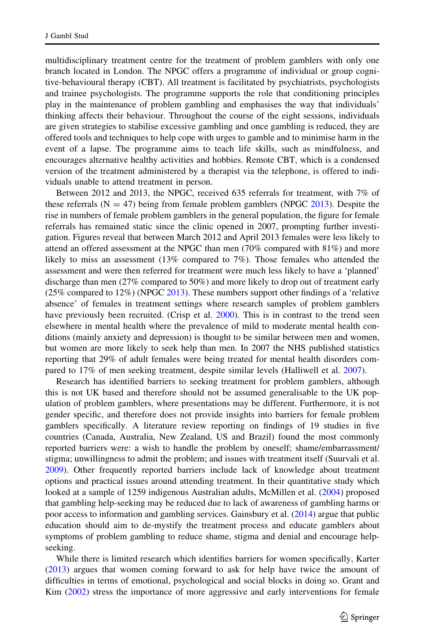multidisciplinary treatment centre for the treatment of problem gamblers with only one branch located in London. The NPGC offers a programme of individual or group cognitive-behavioural therapy (CBT). All treatment is facilitated by psychiatrists, psychologists and trainee psychologists. The programme supports the role that conditioning principles play in the maintenance of problem gambling and emphasises the way that individuals' thinking affects their behaviour. Throughout the course of the eight sessions, individuals are given strategies to stabilise excessive gambling and once gambling is reduced, they are offered tools and techniques to help cope with urges to gamble and to minimise harm in the event of a lapse. The programme aims to teach life skills, such as mindfulness, and encourages alternative healthy activities and hobbies. Remote CBT, which is a condensed version of the treatment administered by a therapist via the telephone, is offered to individuals unable to attend treatment in person.

Between 2012 and 2013, the NPGC, received 635 referrals for treatment, with 7% of these referrals  $(N = 47)$  being from female problem gamblers (NPGC [2013](#page-16-0)). Despite the rise in numbers of female problem gamblers in the general population, the figure for female referrals has remained static since the clinic opened in 2007, prompting further investigation. Figures reveal that between March 2012 and April 2013 females were less likely to attend an offered assessment at the NPGC than men (70% compared with 81%) and more likely to miss an assessment (13% compared to 7%). Those females who attended the assessment and were then referred for treatment were much less likely to have a 'planned' discharge than men (27% compared to 50%) and more likely to drop out of treatment early (25% compared to 12%) (NPGC [2013](#page-16-0)). These numbers support other findings of a 'relative absence' of females in treatment settings where research samples of problem gamblers have previously been recruited. (Crisp et al. [2000\)](#page-15-0). This is in contrast to the trend seen elsewhere in mental health where the prevalence of mild to moderate mental health conditions (mainly anxiety and depression) is thought to be similar between men and women, but women are more likely to seek help than men. In 2007 the NHS published statistics reporting that 29% of adult females were being treated for mental health disorders compared to 17% of men seeking treatment, despite similar levels (Halliwell et al. [2007](#page-16-0)).

Research has identified barriers to seeking treatment for problem gamblers, although this is not UK based and therefore should not be assumed generalisable to the UK population of problem gamblers, where presentations may be different. Furthermore, it is not gender specific, and therefore does not provide insights into barriers for female problem gamblers specifically. A literature review reporting on findings of 19 studies in five countries (Canada, Australia, New Zealand, US and Brazil) found the most commonly reported barriers were: a wish to handle the problem by oneself; shame/embarrassment/ stigma; unwillingness to admit the problem; and issues with treatment itself (Suurvali et al. [2009\)](#page-16-0). Other frequently reported barriers include lack of knowledge about treatment options and practical issues around attending treatment. In their quantitative study which looked at a sample of 1259 indigenous Australian adults, McMillen et al. [\(2004](#page-16-0)) proposed that gambling help-seeking may be reduced due to lack of awareness of gambling harms or poor access to information and gambling services. Gainsbury et al. ([2014](#page-15-0)) argue that public education should aim to de-mystify the treatment process and educate gamblers about symptoms of problem gambling to reduce shame, stigma and denial and encourage helpseeking.

While there is limited research which identifies barriers for women specifically, Karter ([2013\)](#page-16-0) argues that women coming forward to ask for help have twice the amount of difficulties in terms of emotional, psychological and social blocks in doing so. Grant and Kim [\(2002](#page-15-0)) stress the importance of more aggressive and early interventions for female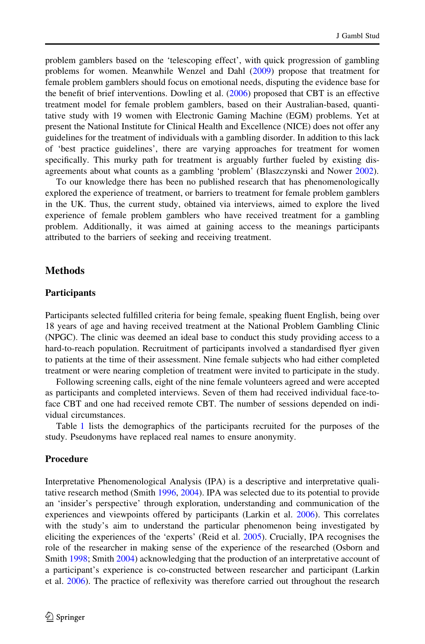problem gamblers based on the 'telescoping effect', with quick progression of gambling problems for women. Meanwhile Wenzel and Dahl [\(2009](#page-16-0)) propose that treatment for female problem gamblers should focus on emotional needs, disputing the evidence base for the benefit of brief interventions. Dowling et al. [\(2006](#page-15-0)) proposed that CBT is an effective treatment model for female problem gamblers, based on their Australian-based, quantitative study with 19 women with Electronic Gaming Machine (EGM) problems. Yet at present the National Institute for Clinical Health and Excellence (NICE) does not offer any guidelines for the treatment of individuals with a gambling disorder. In addition to this lack of 'best practice guidelines', there are varying approaches for treatment for women specifically. This murky path for treatment is arguably further fueled by existing disagreements about what counts as a gambling 'problem' (Blaszczynski and Nower [2002](#page-15-0)).

To our knowledge there has been no published research that has phenomenologically explored the experience of treatment, or barriers to treatment for female problem gamblers in the UK. Thus, the current study, obtained via interviews, aimed to explore the lived experience of female problem gamblers who have received treatment for a gambling problem. Additionally, it was aimed at gaining access to the meanings participants attributed to the barriers of seeking and receiving treatment.

# **Methods**

#### Participants

Participants selected fulfilled criteria for being female, speaking fluent English, being over 18 years of age and having received treatment at the National Problem Gambling Clinic (NPGC). The clinic was deemed an ideal base to conduct this study providing access to a hard-to-reach population. Recruitment of participants involved a standardised flyer given to patients at the time of their assessment. Nine female subjects who had either completed treatment or were nearing completion of treatment were invited to participate in the study.

Following screening calls, eight of the nine female volunteers agreed and were accepted as participants and completed interviews. Seven of them had received individual face-toface CBT and one had received remote CBT. The number of sessions depended on individual circumstances.

Table [1](#page-5-0) lists the demographics of the participants recruited for the purposes of the study. Pseudonyms have replaced real names to ensure anonymity.

#### Procedure

Interpretative Phenomenological Analysis (IPA) is a descriptive and interpretative qualitative research method (Smith [1996](#page-16-0), [2004\)](#page-16-0). IPA was selected due to its potential to provide an 'insider's perspective' through exploration, understanding and communication of the experiences and viewpoints offered by participants (Larkin et al. [2006\)](#page-16-0). This correlates with the study's aim to understand the particular phenomenon being investigated by eliciting the experiences of the 'experts' (Reid et al. [2005\)](#page-16-0). Crucially, IPA recognises the role of the researcher in making sense of the experience of the researched (Osborn and Smith [1998;](#page-16-0) Smith [2004](#page-16-0)) acknowledging that the production of an interpretative account of a participant's experience is co-constructed between researcher and participant (Larkin et al. [2006](#page-16-0)). The practice of reflexivity was therefore carried out throughout the research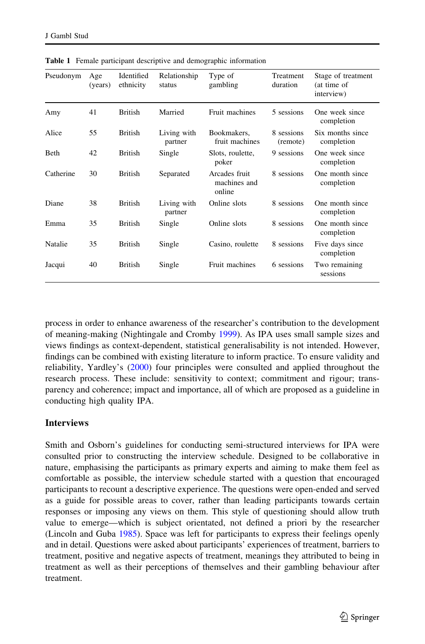| Pseudonym | Age<br>(years) | Identified<br>ethnicity | Relationship<br>status | Type of<br>gambling                     | Treatment<br>duration  | Stage of treatment<br>(at time of<br>interview) |
|-----------|----------------|-------------------------|------------------------|-----------------------------------------|------------------------|-------------------------------------------------|
| Amy       | 41             | <b>British</b>          | Married                | Fruit machines                          | 5 sessions             | One week since<br>completion                    |
| Alice     | 55             | <b>British</b>          | Living with<br>partner | Bookmakers,<br>fruit machines           | 8 sessions<br>(remote) | Six months since<br>completion                  |
| Beth      | 42             | <b>British</b>          | Single                 | Slots, roulette,<br>poker               | 9 sessions             | One week since<br>completion                    |
| Catherine | 30             | <b>British</b>          | Separated              | Arcades fruit<br>machines and<br>online | 8 sessions             | One month since<br>completion                   |
| Diane     | 38             | <b>British</b>          | Living with<br>partner | Online slots                            | 8 sessions             | One month since<br>completion                   |
| Emma      | 35             | <b>British</b>          | Single                 | Online slots                            | 8 sessions             | One month since<br>completion                   |
| Natalie   | 35             | <b>British</b>          | Single                 | Casino, roulette                        | 8 sessions             | Five days since<br>completion                   |
| Jacqui    | 40             | British                 | Single                 | Fruit machines                          | 6 sessions             | Two remaining<br>sessions                       |

<span id="page-5-0"></span>Table 1 Female participant descriptive and demographic information

process in order to enhance awareness of the researcher's contribution to the development of meaning-making (Nightingale and Cromby [1999](#page-16-0)). As IPA uses small sample sizes and views findings as context-dependent, statistical generalisability is not intended. However, findings can be combined with existing literature to inform practice. To ensure validity and reliability, Yardley's ([2000\)](#page-17-0) four principles were consulted and applied throughout the research process. These include: sensitivity to context; commitment and rigour; transparency and coherence; impact and importance, all of which are proposed as a guideline in conducting high quality IPA.

#### Interviews

Smith and Osborn's guidelines for conducting semi-structured interviews for IPA were consulted prior to constructing the interview schedule. Designed to be collaborative in nature, emphasising the participants as primary experts and aiming to make them feel as comfortable as possible, the interview schedule started with a question that encouraged participants to recount a descriptive experience. The questions were open-ended and served as a guide for possible areas to cover, rather than leading participants towards certain responses or imposing any views on them. This style of questioning should allow truth value to emerge—which is subject orientated, not defined a priori by the researcher (Lincoln and Guba [1985\)](#page-16-0). Space was left for participants to express their feelings openly and in detail. Questions were asked about participants' experiences of treatment, barriers to treatment, positive and negative aspects of treatment, meanings they attributed to being in treatment as well as their perceptions of themselves and their gambling behaviour after treatment.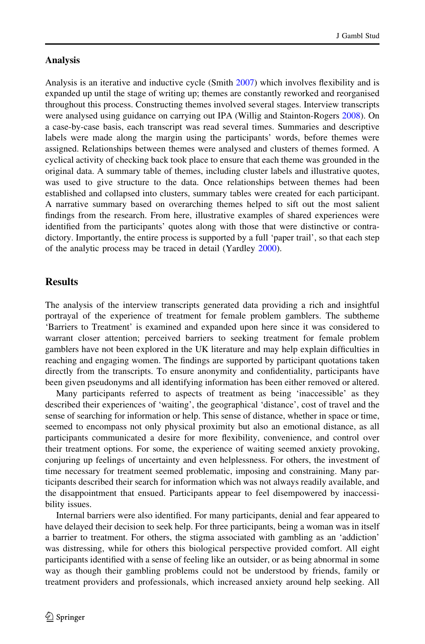#### Analysis

Analysis is an iterative and inductive cycle (Smith [2007\)](#page-16-0) which involves flexibility and is expanded up until the stage of writing up; themes are constantly reworked and reorganised throughout this process. Constructing themes involved several stages. Interview transcripts were analysed using guidance on carrying out IPA (Willig and Stainton-Rogers [2008\)](#page-17-0). On a case-by-case basis, each transcript was read several times. Summaries and descriptive labels were made along the margin using the participants' words, before themes were assigned. Relationships between themes were analysed and clusters of themes formed. A cyclical activity of checking back took place to ensure that each theme was grounded in the original data. A summary table of themes, including cluster labels and illustrative quotes, was used to give structure to the data. Once relationships between themes had been established and collapsed into clusters, summary tables were created for each participant. A narrative summary based on overarching themes helped to sift out the most salient findings from the research. From here, illustrative examples of shared experiences were identified from the participants' quotes along with those that were distinctive or contradictory. Importantly, the entire process is supported by a full 'paper trail', so that each step of the analytic process may be traced in detail (Yardley [2000](#page-17-0)).

# **Results**

The analysis of the interview transcripts generated data providing a rich and insightful portrayal of the experience of treatment for female problem gamblers. The subtheme 'Barriers to Treatment' is examined and expanded upon here since it was considered to warrant closer attention; perceived barriers to seeking treatment for female problem gamblers have not been explored in the UK literature and may help explain difficulties in reaching and engaging women. The findings are supported by participant quotations taken directly from the transcripts. To ensure anonymity and confidentiality, participants have been given pseudonyms and all identifying information has been either removed or altered.

Many participants referred to aspects of treatment as being 'inaccessible' as they described their experiences of 'waiting', the geographical 'distance', cost of travel and the sense of searching for information or help. This sense of distance, whether in space or time, seemed to encompass not only physical proximity but also an emotional distance, as all participants communicated a desire for more flexibility, convenience, and control over their treatment options. For some, the experience of waiting seemed anxiety provoking, conjuring up feelings of uncertainty and even helplessness. For others, the investment of time necessary for treatment seemed problematic, imposing and constraining. Many participants described their search for information which was not always readily available, and the disappointment that ensued. Participants appear to feel disempowered by inaccessibility issues.

Internal barriers were also identified. For many participants, denial and fear appeared to have delayed their decision to seek help. For three participants, being a woman was in itself a barrier to treatment. For others, the stigma associated with gambling as an 'addiction' was distressing, while for others this biological perspective provided comfort. All eight participants identified with a sense of feeling like an outsider, or as being abnormal in some way as though their gambling problems could not be understood by friends, family or treatment providers and professionals, which increased anxiety around help seeking. All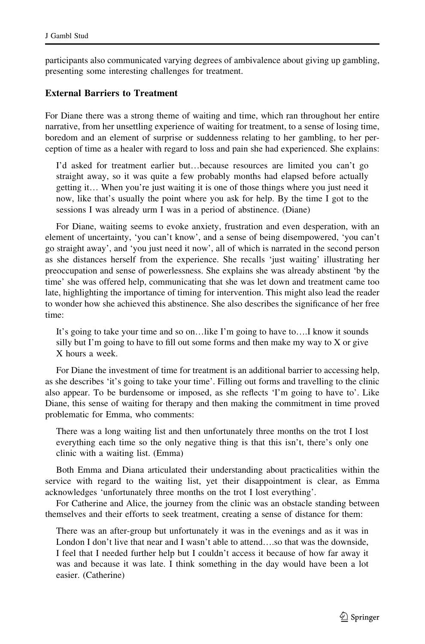participants also communicated varying degrees of ambivalence about giving up gambling, presenting some interesting challenges for treatment.

# External Barriers to Treatment

For Diane there was a strong theme of waiting and time, which ran throughout her entire narrative, from her unsettling experience of waiting for treatment, to a sense of losing time, boredom and an element of surprise or suddenness relating to her gambling, to her perception of time as a healer with regard to loss and pain she had experienced. She explains:

I'd asked for treatment earlier but…because resources are limited you can't go straight away, so it was quite a few probably months had elapsed before actually getting it… When you're just waiting it is one of those things where you just need it now, like that's usually the point where you ask for help. By the time I got to the sessions I was already urm I was in a period of abstinence. (Diane)

For Diane, waiting seems to evoke anxiety, frustration and even desperation, with an element of uncertainty, 'you can't know', and a sense of being disempowered, 'you can't go straight away', and 'you just need it now', all of which is narrated in the second person as she distances herself from the experience. She recalls 'just waiting' illustrating her preoccupation and sense of powerlessness. She explains she was already abstinent 'by the time' she was offered help, communicating that she was let down and treatment came too late, highlighting the importance of timing for intervention. This might also lead the reader to wonder how she achieved this abstinence. She also describes the significance of her free time:

It's going to take your time and so on…like I'm going to have to….I know it sounds silly but I'm going to have to fill out some forms and then make my way to X or give X hours a week.

For Diane the investment of time for treatment is an additional barrier to accessing help, as she describes 'it's going to take your time'. Filling out forms and travelling to the clinic also appear. To be burdensome or imposed, as she reflects 'I'm going to have to'. Like Diane, this sense of waiting for therapy and then making the commitment in time proved problematic for Emma, who comments:

There was a long waiting list and then unfortunately three months on the trot I lost everything each time so the only negative thing is that this isn't, there's only one clinic with a waiting list. (Emma)

Both Emma and Diana articulated their understanding about practicalities within the service with regard to the waiting list, yet their disappointment is clear, as Emma acknowledges 'unfortunately three months on the trot I lost everything'.

For Catherine and Alice, the journey from the clinic was an obstacle standing between themselves and their efforts to seek treatment, creating a sense of distance for them:

There was an after-group but unfortunately it was in the evenings and as it was in London I don't live that near and I wasn't able to attend….so that was the downside, I feel that I needed further help but I couldn't access it because of how far away it was and because it was late. I think something in the day would have been a lot easier. (Catherine)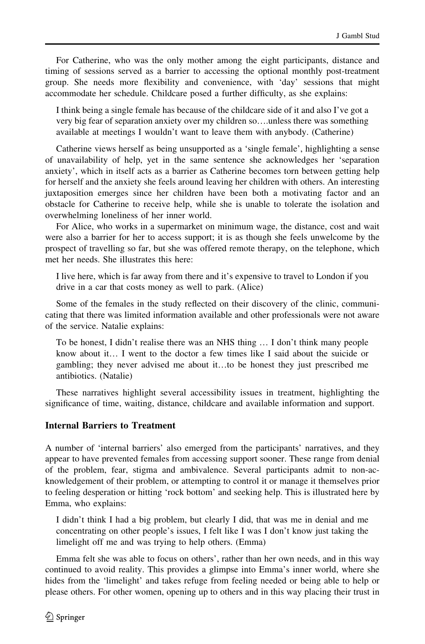For Catherine, who was the only mother among the eight participants, distance and timing of sessions served as a barrier to accessing the optional monthly post-treatment group. She needs more flexibility and convenience, with 'day' sessions that might accommodate her schedule. Childcare posed a further difficulty, as she explains:

I think being a single female has because of the childcare side of it and also I've got a very big fear of separation anxiety over my children so….unless there was something available at meetings I wouldn't want to leave them with anybody. (Catherine)

Catherine views herself as being unsupported as a 'single female', highlighting a sense of unavailability of help, yet in the same sentence she acknowledges her 'separation anxiety', which in itself acts as a barrier as Catherine becomes torn between getting help for herself and the anxiety she feels around leaving her children with others. An interesting juxtaposition emerges since her children have been both a motivating factor and an obstacle for Catherine to receive help, while she is unable to tolerate the isolation and overwhelming loneliness of her inner world.

For Alice, who works in a supermarket on minimum wage, the distance, cost and wait were also a barrier for her to access support; it is as though she feels unwelcome by the prospect of travelling so far, but she was offered remote therapy, on the telephone, which met her needs. She illustrates this here:

I live here, which is far away from there and it's expensive to travel to London if you drive in a car that costs money as well to park. (Alice)

Some of the females in the study reflected on their discovery of the clinic, communicating that there was limited information available and other professionals were not aware of the service. Natalie explains:

To be honest, I didn't realise there was an NHS thing … I don't think many people know about it… I went to the doctor a few times like I said about the suicide or gambling; they never advised me about it…to be honest they just prescribed me antibiotics. (Natalie)

These narratives highlight several accessibility issues in treatment, highlighting the significance of time, waiting, distance, childcare and available information and support.

#### Internal Barriers to Treatment

A number of 'internal barriers' also emerged from the participants' narratives, and they appear to have prevented females from accessing support sooner. These range from denial of the problem, fear, stigma and ambivalence. Several participants admit to non-acknowledgement of their problem, or attempting to control it or manage it themselves prior to feeling desperation or hitting 'rock bottom' and seeking help. This is illustrated here by Emma, who explains:

I didn't think I had a big problem, but clearly I did, that was me in denial and me concentrating on other people's issues, I felt like I was I don't know just taking the limelight off me and was trying to help others. (Emma)

Emma felt she was able to focus on others', rather than her own needs, and in this way continued to avoid reality. This provides a glimpse into Emma's inner world, where she hides from the 'limelight' and takes refuge from feeling needed or being able to help or please others. For other women, opening up to others and in this way placing their trust in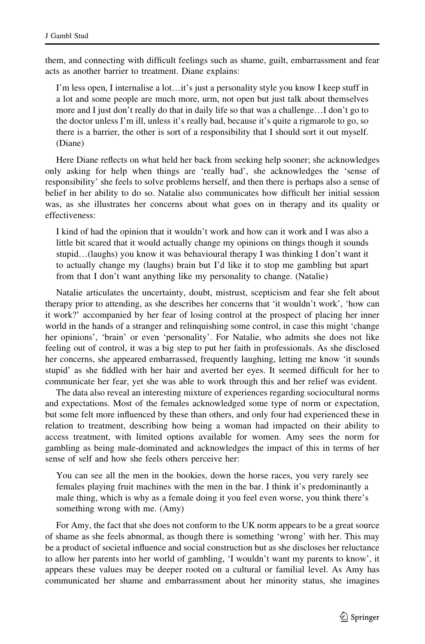them, and connecting with difficult feelings such as shame, guilt, embarrassment and fear acts as another barrier to treatment. Diane explains:

I'm less open, I internalise a lot…it's just a personality style you know I keep stuff in a lot and some people are much more, urm, not open but just talk about themselves more and I just don't really do that in daily life so that was a challenge…I don't go to the doctor unless I'm ill, unless it's really bad, because it's quite a rigmarole to go, so there is a barrier, the other is sort of a responsibility that I should sort it out myself. (Diane)

Here Diane reflects on what held her back from seeking help sooner; she acknowledges only asking for help when things are 'really bad', she acknowledges the 'sense of responsibility' she feels to solve problems herself, and then there is perhaps also a sense of belief in her ability to do so. Natalie also communicates how difficult her initial session was, as she illustrates her concerns about what goes on in therapy and its quality or effectiveness:

I kind of had the opinion that it wouldn't work and how can it work and I was also a little bit scared that it would actually change my opinions on things though it sounds stupid…(laughs) you know it was behavioural therapy I was thinking I don't want it to actually change my (laughs) brain but I'd like it to stop me gambling but apart from that I don't want anything like my personality to change. (Natalie)

Natalie articulates the uncertainty, doubt, mistrust, scepticism and fear she felt about therapy prior to attending, as she describes her concerns that 'it wouldn't work', 'how can it work?' accompanied by her fear of losing control at the prospect of placing her inner world in the hands of a stranger and relinquishing some control, in case this might 'change her opinions', 'brain' or even 'personality'. For Natalie, who admits she does not like feeling out of control, it was a big step to put her faith in professionals. As she disclosed her concerns, she appeared embarrassed, frequently laughing, letting me know 'it sounds stupid' as she fiddled with her hair and averted her eyes. It seemed difficult for her to communicate her fear, yet she was able to work through this and her relief was evident.

The data also reveal an interesting mixture of experiences regarding sociocultural norms and expectations. Most of the females acknowledged some type of norm or expectation, but some felt more influenced by these than others, and only four had experienced these in relation to treatment, describing how being a woman had impacted on their ability to access treatment, with limited options available for women. Amy sees the norm for gambling as being male-dominated and acknowledges the impact of this in terms of her sense of self and how she feels others perceive her:

You can see all the men in the bookies, down the horse races, you very rarely see females playing fruit machines with the men in the bar. I think it's predominantly a male thing, which is why as a female doing it you feel even worse, you think there's something wrong with me. (Amy)

For Amy, the fact that she does not conform to the UK norm appears to be a great source of shame as she feels abnormal, as though there is something 'wrong' with her. This may be a product of societal influence and social construction but as she discloses her reluctance to allow her parents into her world of gambling, 'I wouldn't want my parents to know', it appears these values may be deeper rooted on a cultural or familial level. As Amy has communicated her shame and embarrassment about her minority status, she imagines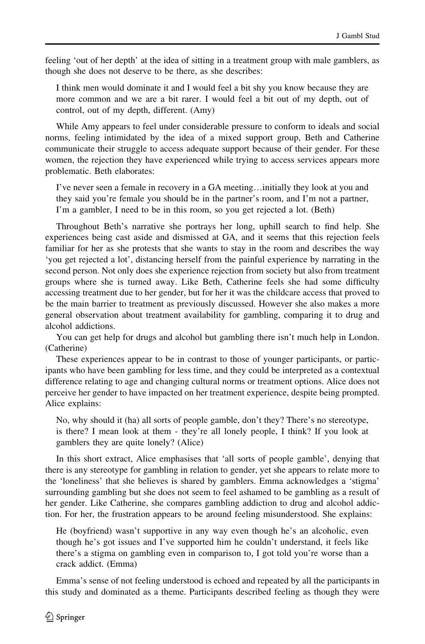feeling 'out of her depth' at the idea of sitting in a treatment group with male gamblers, as though she does not deserve to be there, as she describes:

I think men would dominate it and I would feel a bit shy you know because they are more common and we are a bit rarer. I would feel a bit out of my depth, out of control, out of my depth, different. (Amy)

While Amy appears to feel under considerable pressure to conform to ideals and social norms, feeling intimidated by the idea of a mixed support group, Beth and Catherine communicate their struggle to access adequate support because of their gender. For these women, the rejection they have experienced while trying to access services appears more problematic. Beth elaborates:

I've never seen a female in recovery in a GA meeting…initially they look at you and they said you're female you should be in the partner's room, and I'm not a partner, I'm a gambler, I need to be in this room, so you get rejected a lot. (Beth)

Throughout Beth's narrative she portrays her long, uphill search to find help. She experiences being cast aside and dismissed at GA, and it seems that this rejection feels familiar for her as she protests that she wants to stay in the room and describes the way 'you get rejected a lot', distancing herself from the painful experience by narrating in the second person. Not only does she experience rejection from society but also from treatment groups where she is turned away. Like Beth, Catherine feels she had some difficulty accessing treatment due to her gender, but for her it was the childcare access that proved to be the main barrier to treatment as previously discussed. However she also makes a more general observation about treatment availability for gambling, comparing it to drug and alcohol addictions.

You can get help for drugs and alcohol but gambling there isn't much help in London. (Catherine)

These experiences appear to be in contrast to those of younger participants, or participants who have been gambling for less time, and they could be interpreted as a contextual difference relating to age and changing cultural norms or treatment options. Alice does not perceive her gender to have impacted on her treatment experience, despite being prompted. Alice explains:

No, why should it (ha) all sorts of people gamble, don't they? There's no stereotype, is there? I mean look at them - they're all lonely people, I think? If you look at gamblers they are quite lonely? (Alice)

In this short extract, Alice emphasises that 'all sorts of people gamble', denying that there is any stereotype for gambling in relation to gender, yet she appears to relate more to the 'loneliness' that she believes is shared by gamblers. Emma acknowledges a 'stigma' surrounding gambling but she does not seem to feel ashamed to be gambling as a result of her gender. Like Catherine, she compares gambling addiction to drug and alcohol addiction. For her, the frustration appears to be around feeling misunderstood. She explains:

He (boyfriend) wasn't supportive in any way even though he's an alcoholic, even though he's got issues and I've supported him he couldn't understand, it feels like there's a stigma on gambling even in comparison to, I got told you're worse than a crack addict. (Emma)

Emma's sense of not feeling understood is echoed and repeated by all the participants in this study and dominated as a theme. Participants described feeling as though they were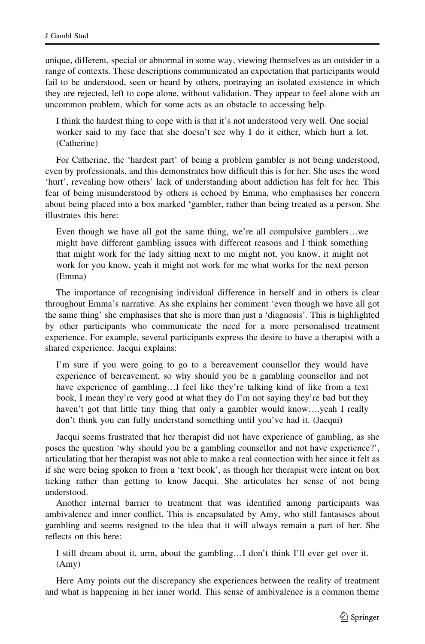unique, different, special or abnormal in some way, viewing themselves as an outsider in a range of contexts. These descriptions communicated an expectation that participants would fail to be understood, seen or heard by others, portraying an isolated existence in which they are rejected, left to cope alone, without validation. They appear to feel alone with an uncommon problem, which for some acts as an obstacle to accessing help.

I think the hardest thing to cope with is that it's not understood very well. One social worker said to my face that she doesn't see why I do it either, which hurt a lot. (Catherine)

For Catherine, the 'hardest part' of being a problem gambler is not being understood, even by professionals, and this demonstrates how difficult this is for her. She uses the word 'hurt', revealing how others' lack of understanding about addiction has felt for her. This fear of being misunderstood by others is echoed by Emma, who emphasises her concern about being placed into a box marked 'gambler, rather than being treated as a person. She illustrates this here:

Even though we have all got the same thing, we're all compulsive gamblers…we might have different gambling issues with different reasons and I think something that might work for the lady sitting next to me might not, you know, it might not work for you know, yeah it might not work for me what works for the next person (Emma)

The importance of recognising individual difference in herself and in others is clear throughout Emma's narrative. As she explains her comment 'even though we have all got the same thing' she emphasises that she is more than just a 'diagnosis'. This is highlighted by other participants who communicate the need for a more personalised treatment experience. For example, several participants express the desire to have a therapist with a shared experience. Jacqui explains:

I'm sure if you were going to go to a bereavement counsellor they would have experience of bereavement, so why should you be a gambling counsellor and not have experience of gambling…I feel like they're talking kind of like from a text book, I mean they're very good at what they do I'm not saying they're bad but they haven't got that little tiny thing that only a gambler would know....yeah I really don't think you can fully understand something until you've had it. (Jacqui)

Jacqui seems frustrated that her therapist did not have experience of gambling, as she poses the question 'why should you be a gambling counsellor and not have experience?', articulating that her therapist was not able to make a real connection with her since it felt as if she were being spoken to from a 'text book', as though her therapist were intent on box ticking rather than getting to know Jacqui. She articulates her sense of not being understood.

Another internal barrier to treatment that was identified among participants was ambivalence and inner conflict. This is encapsulated by Amy, who still fantasises about gambling and seems resigned to the idea that it will always remain a part of her. She reflects on this here:

I still dream about it, urm, about the gambling…I don't think I'll ever get over it. (Amy)

Here Amy points out the discrepancy she experiences between the reality of treatment and what is happening in her inner world. This sense of ambivalence is a common theme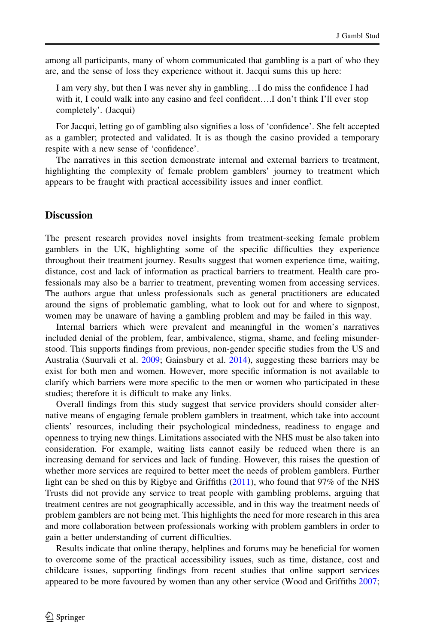among all participants, many of whom communicated that gambling is a part of who they are, and the sense of loss they experience without it. Jacqui sums this up here:

I am very shy, but then I was never shy in gambling…I do miss the confidence I had with it, I could walk into any casino and feel confident....I don't think I'll ever stop completely'. (Jacqui)

For Jacqui, letting go of gambling also signifies a loss of 'confidence'. She felt accepted as a gambler; protected and validated. It is as though the casino provided a temporary respite with a new sense of 'confidence'.

The narratives in this section demonstrate internal and external barriers to treatment, highlighting the complexity of female problem gamblers' journey to treatment which appears to be fraught with practical accessibility issues and inner conflict.

# **Discussion**

The present research provides novel insights from treatment-seeking female problem gamblers in the UK, highlighting some of the specific difficulties they experience throughout their treatment journey. Results suggest that women experience time, waiting, distance, cost and lack of information as practical barriers to treatment. Health care professionals may also be a barrier to treatment, preventing women from accessing services. The authors argue that unless professionals such as general practitioners are educated around the signs of problematic gambling, what to look out for and where to signpost, women may be unaware of having a gambling problem and may be failed in this way.

Internal barriers which were prevalent and meaningful in the women's narratives included denial of the problem, fear, ambivalence, stigma, shame, and feeling misunderstood. This supports findings from previous, non-gender specific studies from the US and Australia (Suurvali et al. [2009](#page-16-0); Gainsbury et al. [2014\)](#page-15-0), suggesting these barriers may be exist for both men and women. However, more specific information is not available to clarify which barriers were more specific to the men or women who participated in these studies; therefore it is difficult to make any links.

Overall findings from this study suggest that service providers should consider alternative means of engaging female problem gamblers in treatment, which take into account clients' resources, including their psychological mindedness, readiness to engage and openness to trying new things. Limitations associated with the NHS must be also taken into consideration. For example, waiting lists cannot easily be reduced when there is an increasing demand for services and lack of funding. However, this raises the question of whether more services are required to better meet the needs of problem gamblers. Further light can be shed on this by Rigbye and Griffiths [\(2011](#page-16-0)), who found that 97% of the NHS Trusts did not provide any service to treat people with gambling problems, arguing that treatment centres are not geographically accessible, and in this way the treatment needs of problem gamblers are not being met. This highlights the need for more research in this area and more collaboration between professionals working with problem gamblers in order to gain a better understanding of current difficulties.

Results indicate that online therapy, helplines and forums may be beneficial for women to overcome some of the practical accessibility issues, such as time, distance, cost and childcare issues, supporting findings from recent studies that online support services appeared to be more favoured by women than any other service (Wood and Griffiths [2007;](#page-17-0)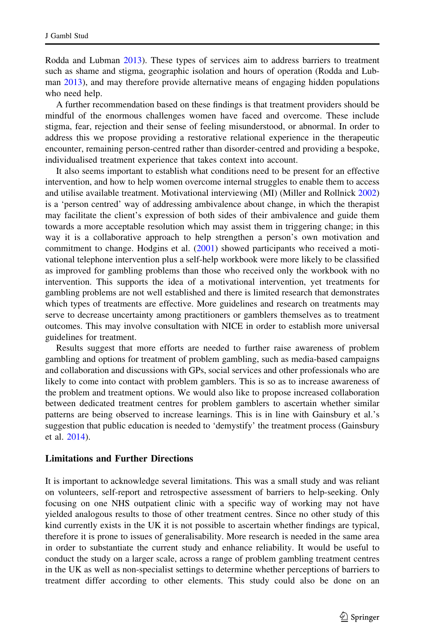Rodda and Lubman [2013\)](#page-16-0). These types of services aim to address barriers to treatment such as shame and stigma, geographic isolation and hours of operation (Rodda and Lubman [2013](#page-16-0)), and may therefore provide alternative means of engaging hidden populations who need help.

A further recommendation based on these findings is that treatment providers should be mindful of the enormous challenges women have faced and overcome. These include stigma, fear, rejection and their sense of feeling misunderstood, or abnormal. In order to address this we propose providing a restorative relational experience in the therapeutic encounter, remaining person-centred rather than disorder-centred and providing a bespoke, individualised treatment experience that takes context into account.

It also seems important to establish what conditions need to be present for an effective intervention, and how to help women overcome internal struggles to enable them to access and utilise available treatment. Motivational interviewing (MI) (Miller and Rollnick [2002](#page-16-0)) is a 'person centred' way of addressing ambivalence about change, in which the therapist may facilitate the client's expression of both sides of their ambivalence and guide them towards a more acceptable resolution which may assist them in triggering change; in this way it is a collaborative approach to help strengthen a person's own motivation and commitment to change. Hodgins et al. [\(2001](#page-16-0)) showed participants who received a motivational telephone intervention plus a self-help workbook were more likely to be classified as improved for gambling problems than those who received only the workbook with no intervention. This supports the idea of a motivational intervention, yet treatments for gambling problems are not well established and there is limited research that demonstrates which types of treatments are effective. More guidelines and research on treatments may serve to decrease uncertainty among practitioners or gamblers themselves as to treatment outcomes. This may involve consultation with NICE in order to establish more universal guidelines for treatment.

Results suggest that more efforts are needed to further raise awareness of problem gambling and options for treatment of problem gambling, such as media-based campaigns and collaboration and discussions with GPs, social services and other professionals who are likely to come into contact with problem gamblers. This is so as to increase awareness of the problem and treatment options. We would also like to propose increased collaboration between dedicated treatment centres for problem gamblers to ascertain whether similar patterns are being observed to increase learnings. This is in line with Gainsbury et al.'s suggestion that public education is needed to 'demystify' the treatment process (Gainsbury et al. [2014](#page-15-0)).

#### Limitations and Further Directions

It is important to acknowledge several limitations. This was a small study and was reliant on volunteers, self-report and retrospective assessment of barriers to help-seeking. Only focusing on one NHS outpatient clinic with a specific way of working may not have yielded analogous results to those of other treatment centres. Since no other study of this kind currently exists in the UK it is not possible to ascertain whether findings are typical, therefore it is prone to issues of generalisability. More research is needed in the same area in order to substantiate the current study and enhance reliability. It would be useful to conduct the study on a larger scale, across a range of problem gambling treatment centres in the UK as well as non-specialist settings to determine whether perceptions of barriers to treatment differ according to other elements. This study could also be done on an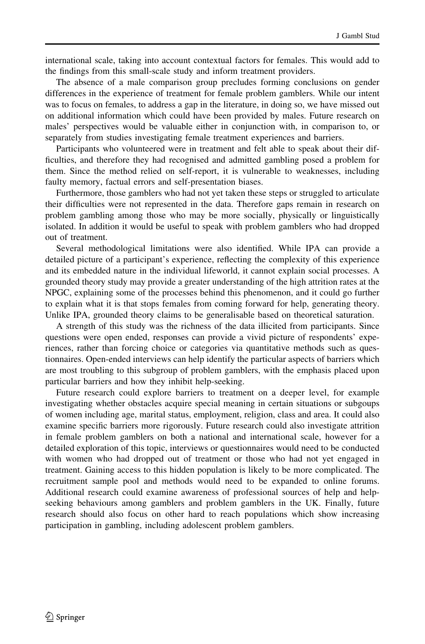international scale, taking into account contextual factors for females. This would add to the findings from this small-scale study and inform treatment providers.

The absence of a male comparison group precludes forming conclusions on gender differences in the experience of treatment for female problem gamblers. While our intent was to focus on females, to address a gap in the literature, in doing so, we have missed out on additional information which could have been provided by males. Future research on males' perspectives would be valuable either in conjunction with, in comparison to, or separately from studies investigating female treatment experiences and barriers.

Participants who volunteered were in treatment and felt able to speak about their difficulties, and therefore they had recognised and admitted gambling posed a problem for them. Since the method relied on self-report, it is vulnerable to weaknesses, including faulty memory, factual errors and self-presentation biases.

Furthermore, those gamblers who had not yet taken these steps or struggled to articulate their difficulties were not represented in the data. Therefore gaps remain in research on problem gambling among those who may be more socially, physically or linguistically isolated. In addition it would be useful to speak with problem gamblers who had dropped out of treatment.

Several methodological limitations were also identified. While IPA can provide a detailed picture of a participant's experience, reflecting the complexity of this experience and its embedded nature in the individual lifeworld, it cannot explain social processes. A grounded theory study may provide a greater understanding of the high attrition rates at the NPGC, explaining some of the processes behind this phenomenon, and it could go further to explain what it is that stops females from coming forward for help, generating theory. Unlike IPA, grounded theory claims to be generalisable based on theoretical saturation.

A strength of this study was the richness of the data illicited from participants. Since questions were open ended, responses can provide a vivid picture of respondents' experiences, rather than forcing choice or categories via quantitative methods such as questionnaires. Open-ended interviews can help identify the particular aspects of barriers which are most troubling to this subgroup of problem gamblers, with the emphasis placed upon particular barriers and how they inhibit help-seeking.

Future research could explore barriers to treatment on a deeper level, for example investigating whether obstacles acquire special meaning in certain situations or subgoups of women including age, marital status, employment, religion, class and area. It could also examine specific barriers more rigorously. Future research could also investigate attrition in female problem gamblers on both a national and international scale, however for a detailed exploration of this topic, interviews or questionnaires would need to be conducted with women who had dropped out of treatment or those who had not yet engaged in treatment. Gaining access to this hidden population is likely to be more complicated. The recruitment sample pool and methods would need to be expanded to online forums. Additional research could examine awareness of professional sources of help and helpseeking behaviours among gamblers and problem gamblers in the UK. Finally, future research should also focus on other hard to reach populations which show increasing participation in gambling, including adolescent problem gamblers.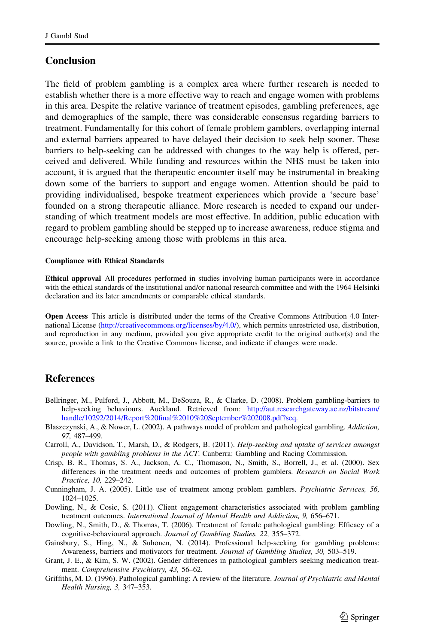### <span id="page-15-0"></span>**Conclusion**

The field of problem gambling is a complex area where further research is needed to establish whether there is a more effective way to reach and engage women with problems in this area. Despite the relative variance of treatment episodes, gambling preferences, age and demographics of the sample, there was considerable consensus regarding barriers to treatment. Fundamentally for this cohort of female problem gamblers, overlapping internal and external barriers appeared to have delayed their decision to seek help sooner. These barriers to help-seeking can be addressed with changes to the way help is offered, perceived and delivered. While funding and resources within the NHS must be taken into account, it is argued that the therapeutic encounter itself may be instrumental in breaking down some of the barriers to support and engage women. Attention should be paid to providing individualised, bespoke treatment experiences which provide a 'secure base' founded on a strong therapeutic alliance. More research is needed to expand our understanding of which treatment models are most effective. In addition, public education with regard to problem gambling should be stepped up to increase awareness, reduce stigma and encourage help-seeking among those with problems in this area.

#### Compliance with Ethical Standards

Ethical approval All procedures performed in studies involving human participants were in accordance with the ethical standards of the institutional and/or national research committee and with the 1964 Helsinki declaration and its later amendments or comparable ethical standards.

Open Access This article is distributed under the terms of the Creative Commons Attribution 4.0 International License [\(http://creativecommons.org/licenses/by/4.0/\)](http://creativecommons.org/licenses/by/4.0/), which permits unrestricted use, distribution, and reproduction in any medium, provided you give appropriate credit to the original author(s) and the source, provide a link to the Creative Commons license, and indicate if changes were made.

# **References**

- Bellringer, M., Pulford, J., Abbott, M., DeSouza, R., & Clarke, D. (2008). Problem gambling-barriers to help-seeking behaviours. Auckland. Retrieved from: [http://aut.researchgateway.ac.nz/bitstream/](http://aut.researchgateway.ac.nz/bitstream/handle/10292/2014/Report%20final%2010%20September%202008.pdf%3fseq) [handle/10292/2014/Report%20final%2010%20September%202008.pdf?seq](http://aut.researchgateway.ac.nz/bitstream/handle/10292/2014/Report%20final%2010%20September%202008.pdf%3fseq).
- Blaszczynski, A., & Nower, L. (2002). A pathways model of problem and pathological gambling. Addiction, 97, 487–499.
- Carroll, A., Davidson, T., Marsh, D., & Rodgers, B. (2011). Help-seeking and uptake of services amongst people with gambling problems in the ACT. Canberra: Gambling and Racing Commission.
- Crisp, B. R., Thomas, S. A., Jackson, A. C., Thomason, N., Smith, S., Borrell, J., et al. (2000). Sex differences in the treatment needs and outcomes of problem gamblers. Research on Social Work Practice, 10, 229–242.
- Cunningham, J. A. (2005). Little use of treatment among problem gamblers. Psychiatric Services, 56, 1024–1025.
- Dowling, N., & Cosic, S. (2011). Client engagement characteristics associated with problem gambling treatment outcomes. International Journal of Mental Health and Addiction, 9, 656–671.
- Dowling, N., Smith, D., & Thomas, T. (2006). Treatment of female pathological gambling: Efficacy of a cognitive-behavioural approach. Journal of Gambling Studies, 22, 355–372.
- Gainsbury, S., Hing, N., & Suhonen, N. (2014). Professional help-seeking for gambling problems: Awareness, barriers and motivators for treatment. Journal of Gambling Studies, 30, 503–519.
- Grant, J. E., & Kim, S. W. (2002). Gender differences in pathological gamblers seeking medication treatment. Comprehensive Psychiatry, 43, 56–62.
- Griffiths, M. D. (1996). Pathological gambling: A review of the literature. Journal of Psychiatric and Mental Health Nursing, 3, 347–353.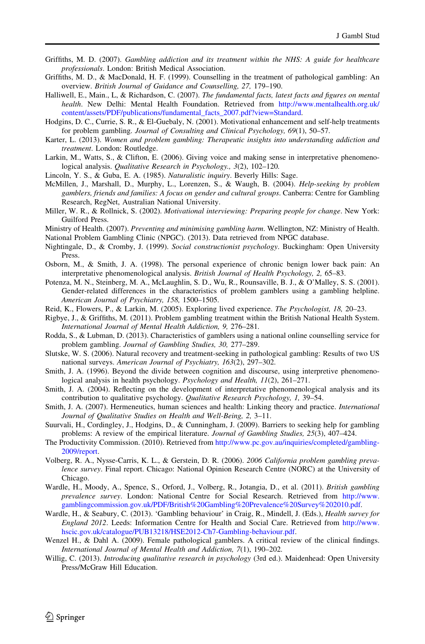- <span id="page-16-0"></span>Griffiths, M. D. (2007). Gambling addiction and its treatment within the NHS: A guide for healthcare professionals. London: British Medical Association.
- Griffiths, M. D., & MacDonald, H. F. (1999). Counselling in the treatment of pathological gambling: An overview. British Journal of Guidance and Counselling, 27, 179–190.
- Halliwell, E., Main., L, & Richardson, C. (2007). The fundamental facts, latest facts and figures on mental health. New Delhi: Mental Health Foundation. Retrieved from [http://www.mentalhealth.org.uk/](http://www.mentalhealth.org.uk/content/assets/PDF/publications/fundamental_facts_2007.pdf%3fview%3dStandard) [content/assets/PDF/publications/fundamental\\_facts\\_2007.pdf?view=Standard](http://www.mentalhealth.org.uk/content/assets/PDF/publications/fundamental_facts_2007.pdf%3fview%3dStandard).
- Hodgins, D. C., Currie, S. R., & El-Guebaly, N. (2001). Motivational enhancement and self-help treatments for problem gambling. Journal of Consulting and Clinical Psychology, 69(1), 50–57.
- Karter, L. (2013). Women and problem gambling: Therapeutic insights into understanding addiction and treatment. London: Routledge.
- Larkin, M., Watts, S., & Clifton, E. (2006). Giving voice and making sense in interpretative phenomenological analysis. Qualitative Research in Psychology., 3(2), 102–120.
- Lincoln, Y. S., & Guba, E. A. (1985). Naturalistic inquiry. Beverly Hills: Sage.
- McMillen, J., Marshall, D., Murphy, L., Lorenzen, S., & Waugh, B. (2004). Help-seeking by problem gamblers, friends and families: A focus on gender and cultural groups. Canberra: Centre for Gambling Research, RegNet, Australian National University.
- Miller, W. R., & Rollnick, S. (2002). Motivational interviewing: Preparing people for change. New York: Guilford Press.
- Ministry of Health. (2007). Preventing and minimising gambling harm. Wellington, NZ: Ministry of Health.
- National Problem Gambling Clinic (NPGC). (2013). Data retrieved from NPGC database.
- Nightingale, D., & Cromby, J. (1999). Social constructionist psychology. Buckingham: Open University Press.
- Osborn, M., & Smith, J. A. (1998). The personal experience of chronic benign lower back pain: An interpretative phenomenological analysis. British Journal of Health Psychology, 2, 65–83.
- Potenza, M. N., Steinberg, M. A., McLaughlin, S. D., Wu, R., Rounsaville, B. J., & O'Malley, S. S. (2001). Gender-related differences in the characteristics of problem gamblers using a gambling helpline. American Journal of Psychiatry, 158, 1500–1505.
- Reid, K., Flowers, P., & Larkin, M. (2005). Exploring lived experience. The Psychologist, 18, 20–23.
- Rigbye, J., & Griffiths, M. (2011). Problem gambling treatment within the British National Health System. International Journal of Mental Health Addiction, 9, 276–281.
- Rodda, S., & Lubman, D. (2013). Characteristics of gamblers using a national online counselling service for problem gambling. Journal of Gambling Studies, 30, 277–289.
- Slutske, W. S. (2006). Natural recovery and treatment-seeking in pathological gambling: Results of two US national surveys. American Journal of Psychiatry, 163(2), 297–302.
- Smith, J. A. (1996). Beyond the divide between cognition and discourse, using interpretive phenomenological analysis in health psychology. Psychology and Health, 11(2), 261–271.
- Smith, J. A. (2004). Reflecting on the development of interpretative phenomenological analysis and its contribution to qualitative psychology. Qualitative Research Psychology, 1, 39–54.
- Smith, J. A. (2007). Hermeneutics, human sciences and health: Linking theory and practice. *International* Journal of Qualitative Studies on Health and Well-Being, 2, 3–11.
- Suurvali, H., Cordingley, J., Hodgins, D., & Cunningham, J. (2009). Barriers to seeking help for gambling problems: A review of the empirical literature. Journal of Gambling Studies, 25(3), 407–424.
- The Productivity Commission. (2010). Retrieved from [http://www.pc.gov.au/inquiries/completed/gambling-](http://www.pc.gov.au/inquiries/completed/gambling-2009/report)[2009/report.](http://www.pc.gov.au/inquiries/completed/gambling-2009/report)
- Volberg, R. A., Nysse-Carris, K. L., & Gerstein, D. R. (2006). 2006 California problem gambling prevalence survey. Final report. Chicago: National Opinion Research Centre (NORC) at the University of Chicago.
- Wardle, H., Moody, A., Spence, S., Orford, J., Volberg, R., Jotangia, D., et al. (2011). British gambling prevalence survey. London: National Centre for Social Research. Retrieved from [http://www.](http://www.gamblingcommission.gov.uk/PDF/British%20Gambling%20Prevalence%20Survey%202010.pdf) [gamblingcommission.gov.uk/PDF/British%20Gambling%20Prevalence%20Survey%202010.pdf](http://www.gamblingcommission.gov.uk/PDF/British%20Gambling%20Prevalence%20Survey%202010.pdf).
- Wardle, H., & Seabury, C. (2013). 'Gambling behaviour' in Craig, R., Mindell, J. (Eds.), *Health survey for* England 2012. Leeds: Information Centre for Health and Social Care. Retrieved from [http://www.](http://www.hscic.gov.uk/catalogue/PUB13218/HSE2012-Ch7-Gambling-behaviour.pdf) [hscic.gov.uk/catalogue/PUB13218/HSE2012-Ch7-Gambling-behaviour.pdf](http://www.hscic.gov.uk/catalogue/PUB13218/HSE2012-Ch7-Gambling-behaviour.pdf).
- Wenzel H., & Dahl A. (2009). Female pathological gamblers. A critical review of the clinical findings. International Journal of Mental Health and Addiction, 7(1), 190–202.
- Willig, C. (2013). *Introducing qualitative research in psychology* (3rd ed.). Maidenhead: Open University Press/McGraw Hill Education.